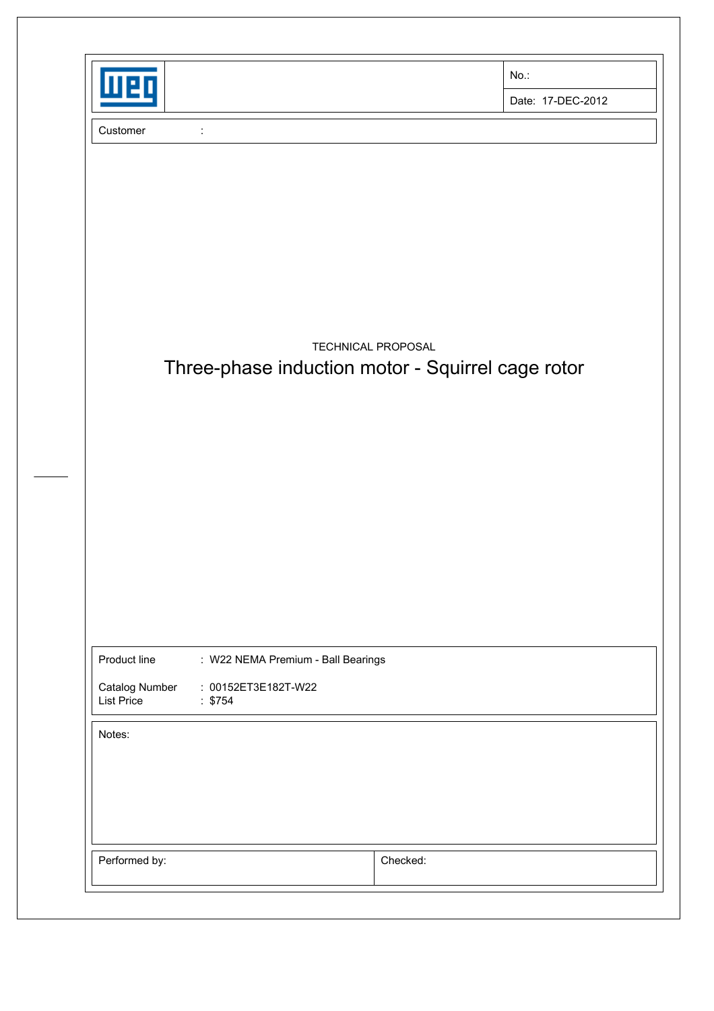| п                           |                                                   |                    | No.:              |
|-----------------------------|---------------------------------------------------|--------------------|-------------------|
|                             |                                                   |                    | Date: 17-DEC-2012 |
| Customer                    | $\ddot{\cdot}$                                    |                    |                   |
|                             |                                                   |                    |                   |
|                             |                                                   |                    |                   |
|                             |                                                   |                    |                   |
|                             |                                                   |                    |                   |
|                             |                                                   |                    |                   |
|                             |                                                   |                    |                   |
|                             | Three-phase induction motor - Squirrel cage rotor | TECHNICAL PROPOSAL |                   |
|                             |                                                   |                    |                   |
|                             |                                                   |                    |                   |
|                             |                                                   |                    |                   |
|                             |                                                   |                    |                   |
|                             |                                                   |                    |                   |
|                             |                                                   |                    |                   |
|                             |                                                   |                    |                   |
|                             |                                                   |                    |                   |
| Product line                | : W22 NEMA Premium - Ball Bearings                |                    |                   |
|                             | : 00152ET3E182T-W22                               |                    |                   |
| Catalog Number              |                                                   |                    |                   |
|                             | : \$754                                           |                    |                   |
| <b>List Price</b><br>Notes: |                                                   |                    |                   |
|                             |                                                   |                    |                   |
|                             |                                                   |                    |                   |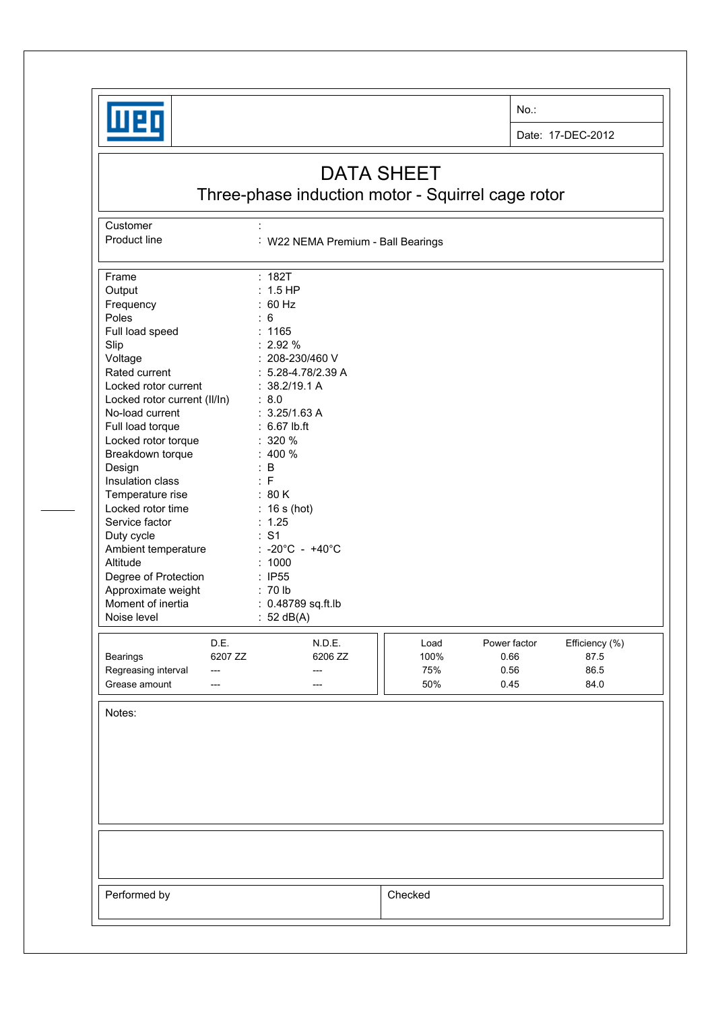

**Customer** 

No.:

Date: 17-DEC-2012

## DATA SHEET

Three-phase induction motor - Squirrel cage rotor

Product line : W22 NEMA Premium - Ball Bearings Frame : 182T Output : 1.5 HP<br>Frequency : 60 Hz Frequency Poles : 6 Full load speed : 1165 Slip : 2.92 % Voltage : 208-230/460 V Rated current : 5.28-4.78/2.39 A Locked rotor current : 38.2/19.1 A Locked rotor current (II/In) : 8.0 No-load current : 3.25/1.63 A Full load torque : 6.67 lb.ft Locked rotor torque : 320 % Breakdown torque : 400 % Design : B Insulation class : F Temperature rise : 80 K Locked rotor time : 16 s (hot) Service factor : 1.25 Duty cycle  $\qquad \qquad : S1$ Ambient temperature : -20°C - +40°C Altitude : 1000 Degree of Protection : IP55<br>Approximate weight : 70 lb Approximate weight Moment of inertia : 0.48789 sq.ft.lb Noise level : 52 dB(A) D.E. N.D.E. **N.D.E. Load** Power factor Efficiency (%) Bearings 6207 ZZ 6206 ZZ 100% 0.66 87.5 Regreasing interval --- --- --- --- --- --- 1 | 75% 0.56 86.5 Grease amount --- --- --- --- --- --- --- --- 50% 0.45 84.0 Notes: Performed by **Checked**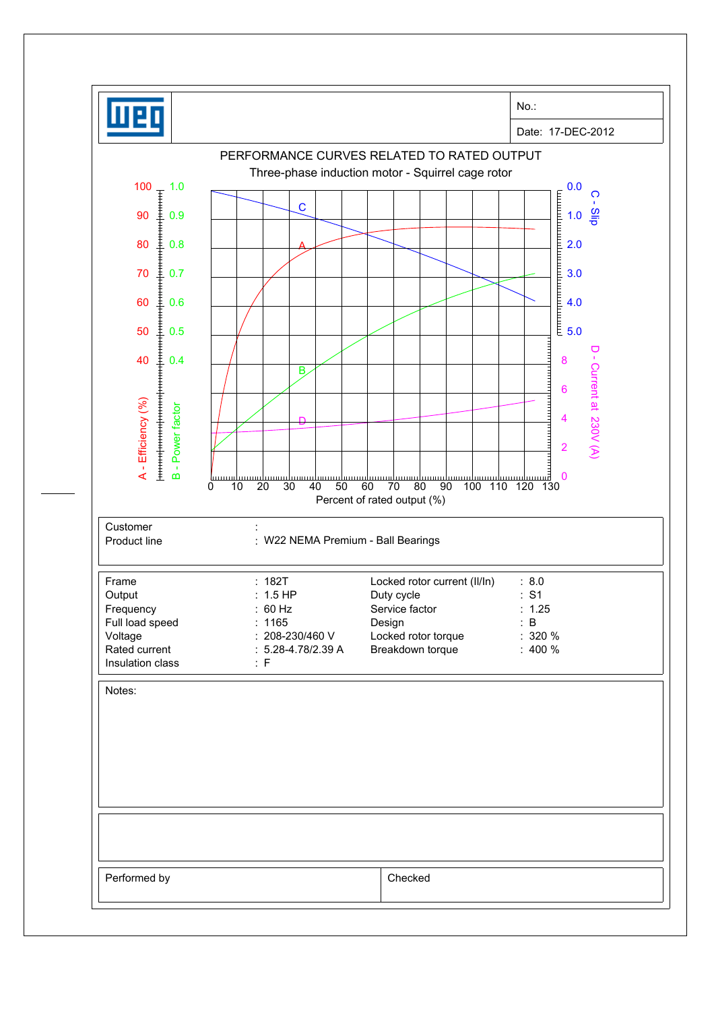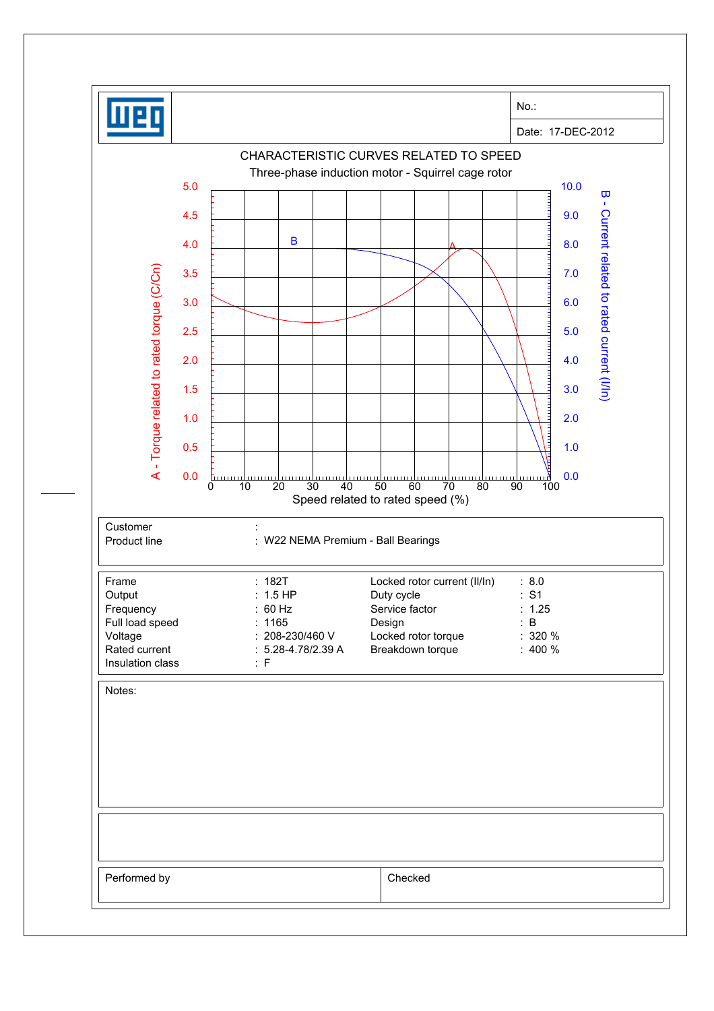